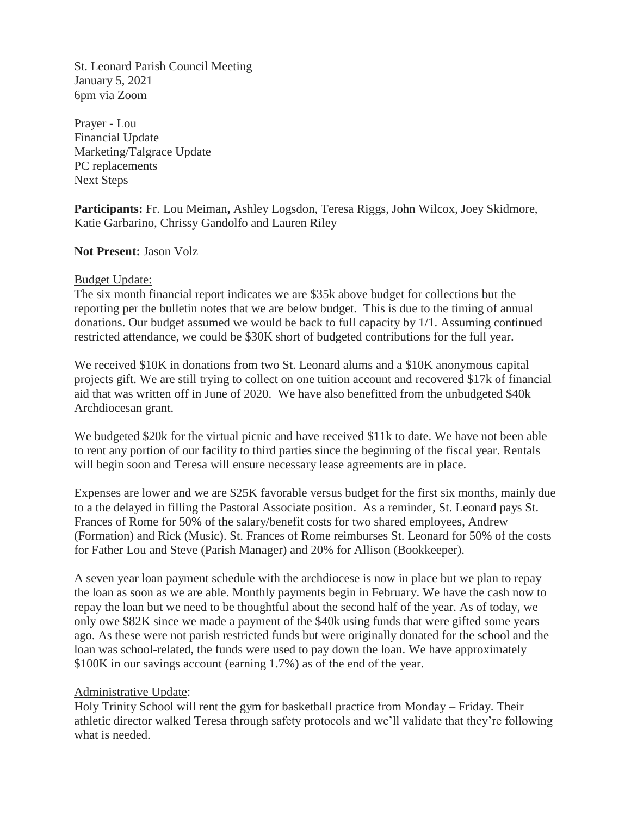St. Leonard Parish Council Meeting January 5, 2021 6pm via Zoom

Prayer - Lou Financial Update Marketing/Talgrace Update PC replacements Next Steps

**Participants:** Fr. Lou Meiman**,** Ashley Logsdon, Teresa Riggs, John Wilcox, Joey Skidmore, Katie Garbarino, Chrissy Gandolfo and Lauren Riley

#### **Not Present:** Jason Volz

#### Budget Update:

The six month financial report indicates we are \$35k above budget for collections but the reporting per the bulletin notes that we are below budget. This is due to the timing of annual donations. Our budget assumed we would be back to full capacity by 1/1. Assuming continued restricted attendance, we could be \$30K short of budgeted contributions for the full year.

We received \$10K in donations from two St. Leonard alums and a \$10K anonymous capital projects gift. We are still trying to collect on one tuition account and recovered \$17k of financial aid that was written off in June of 2020. We have also benefitted from the unbudgeted \$40k Archdiocesan grant.

We budgeted \$20k for the virtual picnic and have received \$11k to date. We have not been able to rent any portion of our facility to third parties since the beginning of the fiscal year. Rentals will begin soon and Teresa will ensure necessary lease agreements are in place.

Expenses are lower and we are \$25K favorable versus budget for the first six months, mainly due to a the delayed in filling the Pastoral Associate position. As a reminder, St. Leonard pays St. Frances of Rome for 50% of the salary/benefit costs for two shared employees, Andrew (Formation) and Rick (Music). St. Frances of Rome reimburses St. Leonard for 50% of the costs for Father Lou and Steve (Parish Manager) and 20% for Allison (Bookkeeper).

A seven year loan payment schedule with the archdiocese is now in place but we plan to repay the loan as soon as we are able. Monthly payments begin in February. We have the cash now to repay the loan but we need to be thoughtful about the second half of the year. As of today, we only owe \$82K since we made a payment of the \$40k using funds that were gifted some years ago. As these were not parish restricted funds but were originally donated for the school and the loan was school-related, the funds were used to pay down the loan. We have approximately \$100K in our savings account (earning 1.7%) as of the end of the year.

## Administrative Update:

Holy Trinity School will rent the gym for basketball practice from Monday – Friday. Their athletic director walked Teresa through safety protocols and we'll validate that they're following what is needed.